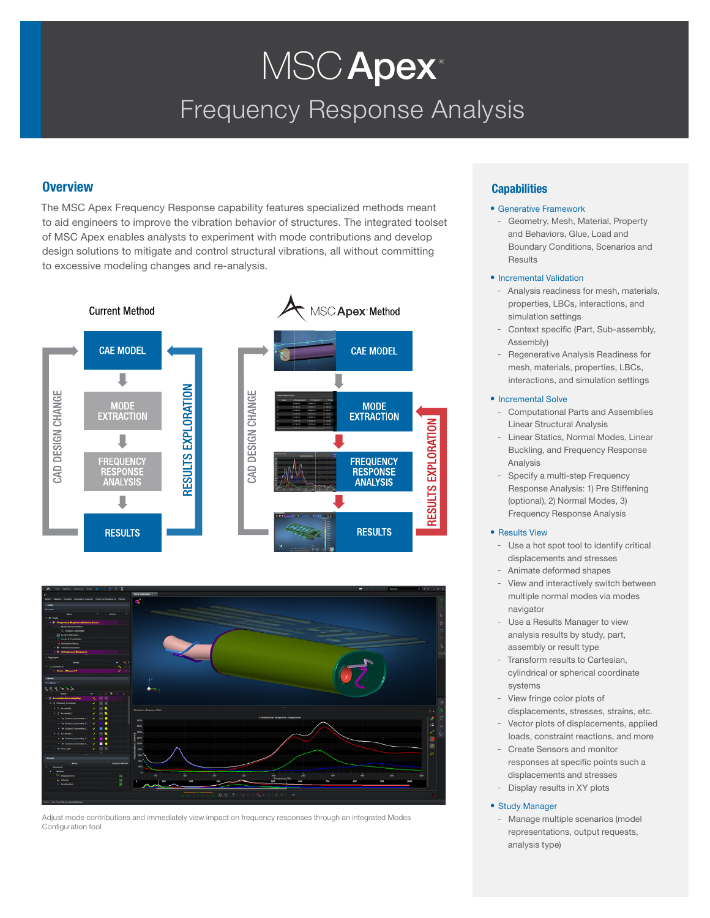# Frequency Response Analysis MSC Apex<sup>®</sup>

# **Overview**

The MSC Apex Frequency Response capability features specialized methods meant to aid engineers to improve the vibration behavior of structures. The integrated toolset of MSC Apex enables analysts to experiment with mode contributions and develop design solutions to mitigate and control structural vibrations, all without committing to excessive modeling changes and re-analysis.





Adjust mode contributions and immediately view impact on frequency responses through an integrated Modes Configuration tool

# **Capabilities**

### • Generative Framework

- Geometry, Mesh, Material, Property and Behaviors, Glue, Load and Boundary Conditions, Scenarios and Results

### • Incremental Validation

- Analysis readiness for mesh, materials, properties, LBCs, interactions, and simulation settings
- Context specific (Part, Sub-assembly, Assembly)
- Regenerative Analysis Readiness for mesh, materials, properties, LBCs, interactions, and simulation settings

### • Incremental Solve

- Computational Parts and Assemblies Linear Structural Analysis
- Linear Statics, Normal Modes, Linear Buckling, and Frequency Response Analysis
- Specify a multi-step Frequency Response Analysis: 1) Pre Stiffening (optional), 2) Normal Modes, 3) Frequency Response Analysis

### • Results View

- Use a hot spot tool to identify critical displacements and stresses
- Animate deformed shapes
- View and interactively switch between multiple normal modes via modes navigator
- Use a Results Manager to view analysis results by study, part, assembly or result type
- Transform results to Cartesian, cylindrical or spherical coordinate systems
- View fringe color plots of displacements, stresses, strains, etc.
- Vector plots of displacements, applied loads, constraint reactions, and more
- Create Sensors and monitor responses at specific points such a displacements and stresses
- Display results in XY plots

### • Study Manager

Manage multiple scenarios (model representations, output requests, analysis type)